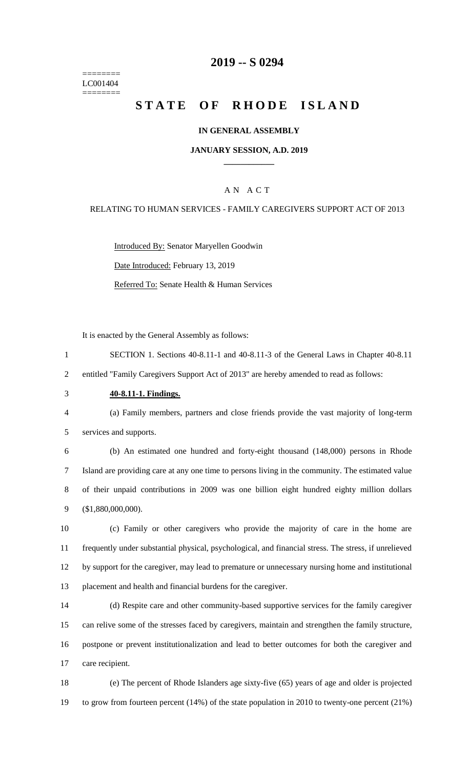======== LC001404 ========

## **-- S 0294**

# **STATE OF RHODE ISLAND**

### **IN GENERAL ASSEMBLY**

### **JANUARY SESSION, A.D. 2019 \_\_\_\_\_\_\_\_\_\_\_\_**

## A N A C T

#### RELATING TO HUMAN SERVICES - FAMILY CAREGIVERS SUPPORT ACT OF 2013

Introduced By: Senator Maryellen Goodwin Date Introduced: February 13, 2019 Referred To: Senate Health & Human Services

It is enacted by the General Assembly as follows:

 SECTION 1. Sections 40-8.11-1 and 40-8.11-3 of the General Laws in Chapter 40-8.11 entitled "Family Caregivers Support Act of 2013" are hereby amended to read as follows:

**40-8.11-1. Findings.**

 (a) Family members, partners and close friends provide the vast majority of long-term services and supports.

 (b) An estimated one hundred and forty-eight thousand (148,000) persons in Rhode Island are providing care at any one time to persons living in the community. The estimated value of their unpaid contributions in 2009 was one billion eight hundred eighty million dollars (\$1,880,000,000).

 (c) Family or other caregivers who provide the majority of care in the home are frequently under substantial physical, psychological, and financial stress. The stress, if unrelieved by support for the caregiver, may lead to premature or unnecessary nursing home and institutional placement and health and financial burdens for the caregiver.

 (d) Respite care and other community-based supportive services for the family caregiver can relive some of the stresses faced by caregivers, maintain and strengthen the family structure, postpone or prevent institutionalization and lead to better outcomes for both the caregiver and care recipient.

 (e) The percent of Rhode Islanders age sixty-five (65) years of age and older is projected to grow from fourteen percent (14%) of the state population in 2010 to twenty-one percent (21%)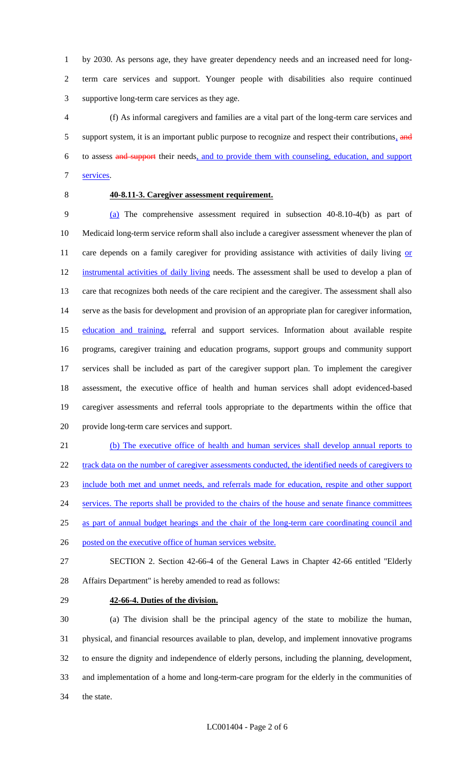by 2030. As persons age, they have greater dependency needs and an increased need for long- term care services and support. Younger people with disabilities also require continued supportive long-term care services as they age.

 (f) As informal caregivers and families are a vital part of the long-term care services and 5 support system, it is an important public purpose to recognize and respect their contributions, and to assess and support their needs, and to provide them with counseling, education, and support services.

## **40-8.11-3. Caregiver assessment requirement.**

 (a) The comprehensive assessment required in subsection 40-8.10-4(b) as part of Medicaid long-term service reform shall also include a caregiver assessment whenever the plan of 11 care depends on a family caregiver for providing assistance with activities of daily living or instrumental activities of daily living needs. The assessment shall be used to develop a plan of care that recognizes both needs of the care recipient and the caregiver. The assessment shall also serve as the basis for development and provision of an appropriate plan for caregiver information, 15 education and training, referral and support services. Information about available respite programs, caregiver training and education programs, support groups and community support services shall be included as part of the caregiver support plan. To implement the caregiver assessment, the executive office of health and human services shall adopt evidenced-based caregiver assessments and referral tools appropriate to the departments within the office that provide long-term care services and support.

 (b) The executive office of health and human services shall develop annual reports to 22 track data on the number of caregiver assessments conducted, the identified needs of caregivers to include both met and unmet needs, and referrals made for education, respite and other support 24 services. The reports shall be provided to the chairs of the house and senate finance committees as part of annual budget hearings and the chair of the long-term care coordinating council and posted on the executive office of human services website.

 SECTION 2. Section 42-66-4 of the General Laws in Chapter 42-66 entitled "Elderly Affairs Department" is hereby amended to read as follows:

**42-66-4. Duties of the division.**

 (a) The division shall be the principal agency of the state to mobilize the human, physical, and financial resources available to plan, develop, and implement innovative programs to ensure the dignity and independence of elderly persons, including the planning, development, and implementation of a home and long-term-care program for the elderly in the communities of the state.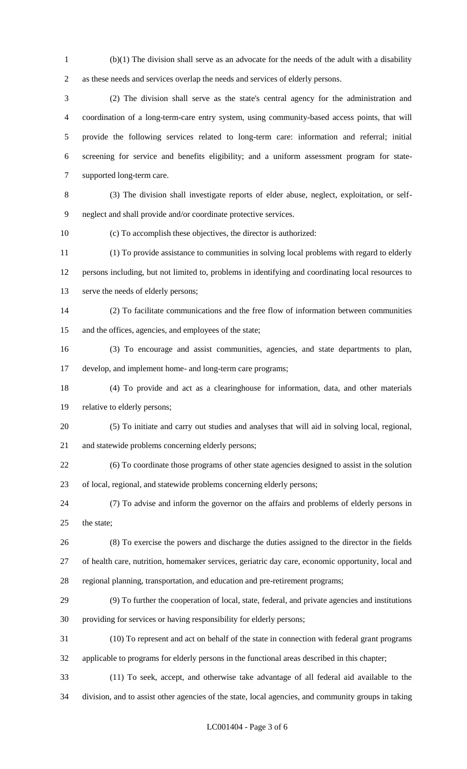(b)(1) The division shall serve as an advocate for the needs of the adult with a disability as these needs and services overlap the needs and services of elderly persons.

 (2) The division shall serve as the state's central agency for the administration and coordination of a long-term-care entry system, using community-based access points, that will provide the following services related to long-term care: information and referral; initial screening for service and benefits eligibility; and a uniform assessment program for state-supported long-term care.

 (3) The division shall investigate reports of elder abuse, neglect, exploitation, or self-neglect and shall provide and/or coordinate protective services.

(c) To accomplish these objectives, the director is authorized:

 (1) To provide assistance to communities in solving local problems with regard to elderly persons including, but not limited to, problems in identifying and coordinating local resources to serve the needs of elderly persons;

 (2) To facilitate communications and the free flow of information between communities and the offices, agencies, and employees of the state;

 (3) To encourage and assist communities, agencies, and state departments to plan, develop, and implement home- and long-term care programs;

 (4) To provide and act as a clearinghouse for information, data, and other materials relative to elderly persons;

 (5) To initiate and carry out studies and analyses that will aid in solving local, regional, and statewide problems concerning elderly persons;

 (6) To coordinate those programs of other state agencies designed to assist in the solution of local, regional, and statewide problems concerning elderly persons;

 (7) To advise and inform the governor on the affairs and problems of elderly persons in the state;

 (8) To exercise the powers and discharge the duties assigned to the director in the fields of health care, nutrition, homemaker services, geriatric day care, economic opportunity, local and regional planning, transportation, and education and pre-retirement programs;

 (9) To further the cooperation of local, state, federal, and private agencies and institutions providing for services or having responsibility for elderly persons;

 (10) To represent and act on behalf of the state in connection with federal grant programs applicable to programs for elderly persons in the functional areas described in this chapter;

(11) To seek, accept, and otherwise take advantage of all federal aid available to the

division, and to assist other agencies of the state, local agencies, and community groups in taking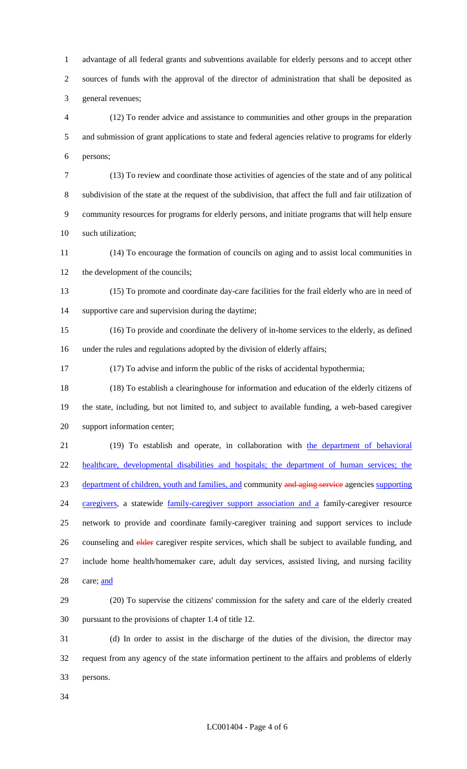advantage of all federal grants and subventions available for elderly persons and to accept other sources of funds with the approval of the director of administration that shall be deposited as general revenues;

 (12) To render advice and assistance to communities and other groups in the preparation and submission of grant applications to state and federal agencies relative to programs for elderly persons;

 (13) To review and coordinate those activities of agencies of the state and of any political subdivision of the state at the request of the subdivision, that affect the full and fair utilization of community resources for programs for elderly persons, and initiate programs that will help ensure such utilization;

 (14) To encourage the formation of councils on aging and to assist local communities in 12 the development of the councils;

 (15) To promote and coordinate day-care facilities for the frail elderly who are in need of supportive care and supervision during the daytime;

 (16) To provide and coordinate the delivery of in-home services to the elderly, as defined under the rules and regulations adopted by the division of elderly affairs;

(17) To advise and inform the public of the risks of accidental hypothermia;

 (18) To establish a clearinghouse for information and education of the elderly citizens of the state, including, but not limited to, and subject to available funding, a web-based caregiver support information center;

 (19) To establish and operate, in collaboration with the department of behavioral healthcare, developmental disabilities and hospitals; the department of human services; the 23 department of children, youth and families, and community and aging service agencies supporting 24 caregivers, a statewide family-caregiver support association and a family-caregiver resource network to provide and coordinate family-caregiver training and support services to include 26 counseling and elder caregiver respite services, which shall be subject to available funding, and include home health/homemaker care, adult day services, assisted living, and nursing facility 28 care; and

 (20) To supervise the citizens' commission for the safety and care of the elderly created pursuant to the provisions of chapter 1.4 of title 12.

 (d) In order to assist in the discharge of the duties of the division, the director may request from any agency of the state information pertinent to the affairs and problems of elderly persons.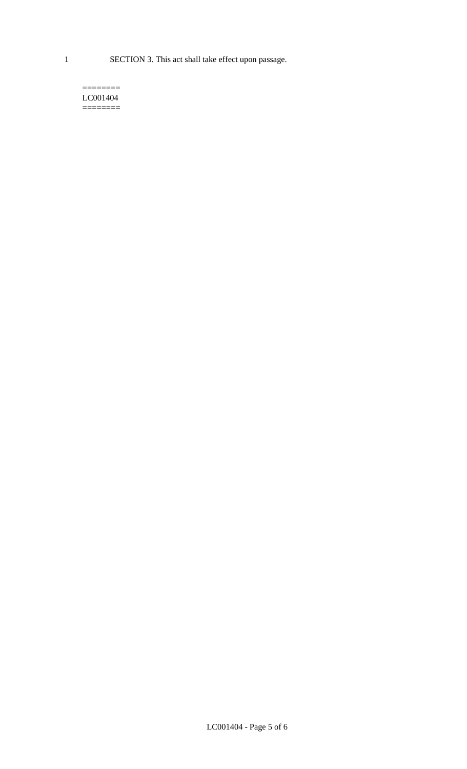1 SECTION 3. This act shall take effect upon passage.

#### $=$ LC001404  $=$